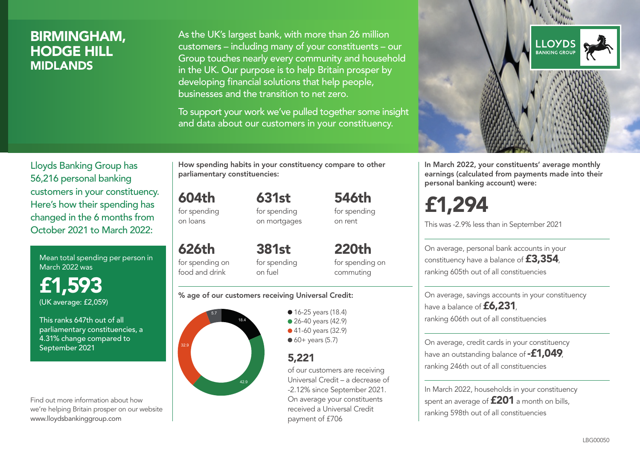## BIRMINGHAM, HODGE HILL MIDLANDS

As the UK's largest bank, with more than 26 million customers – including many of your constituents – our Group touches nearly every community and household in the UK. Our purpose is to help Britain prosper by developing financial solutions that help people, businesses and the transition to net zero.

To support your work we've pulled together some insight and data about our customers in your constituency.



Mean total spending per person in March 2022 was

£1,593 (UK average: £2,059)

This ranks 647th out of all parliamentary constituencies, a 4.31% change compared to September 2021

Find out more information about how we're helping Britain prosper on our website www.lloydsbankinggroup.com

How spending habits in your constituency compare to other parliamentary constituencies:

604th for spending on loans

626th

for spending on mortgages

631st

546th for spending on rent

for spending on food and drink 381st for spending on fuel

220th for spending on commuting

#### % age of our customers receiving Universal Credit:



• 16-25 years (18.4) ● 26-40 years (42.9) ● 41-60 years (32.9)  $60+$  years (5.7)

## 5,221

of our customers are receiving Universal Credit – a decrease of -2.12% since September 2021. On average your constituents received a Universal Credit payment of £706



In March 2022, your constituents' average monthly earnings (calculated from payments made into their personal banking account) were:

£1,294

This was -2.9% less than in September 2021

On average, personal bank accounts in your constituency have a balance of £3,354, ranking 605th out of all constituencies

On average, savings accounts in your constituency have a balance of **£6,231** ranking 606th out of all constituencies

On average, credit cards in your constituency have an outstanding balance of **-£1,049** ranking 246th out of all constituencies

In March 2022, households in your constituency spent an average of **£201** a month on bills, ranking 598th out of all constituencies